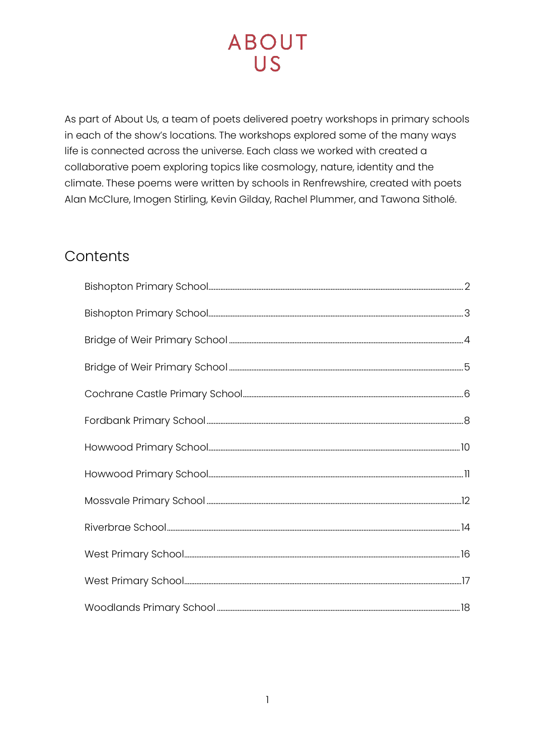As part of About Us, a team of poets delivered poetry workshops in primary schools in each of the show's locations. The workshops explored some of the many ways life is connected across the universe. Each class we worked with created a collaborative poem exploring topics like cosmology, nature, identity and the climate. These poems were written by schools in Renfrewshire, created with poets Alan McClure, Imogen Stirling, Kevin Gilday, Rachel Plummer, and Tawona Sitholé.

### Contents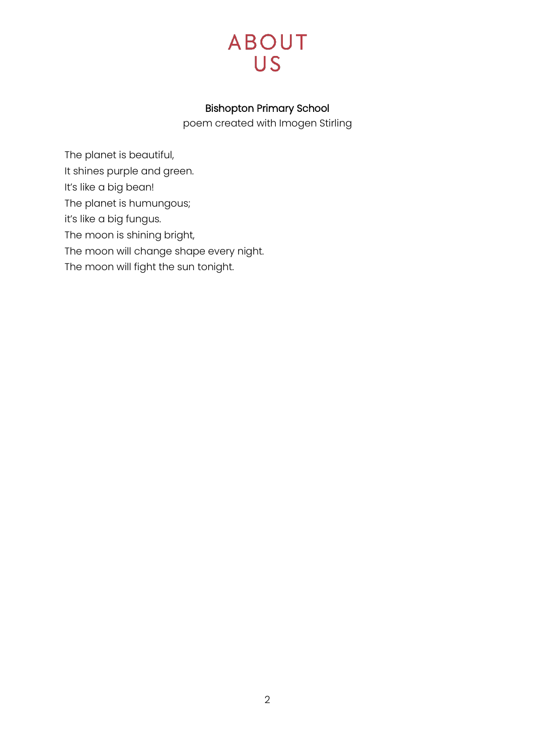

#### Bishopton Primary School

poem created with Imogen Stirling

<span id="page-1-0"></span>The planet is beautiful, It shines purple and green. It's like a big bean! The planet is humungous; it's like a big fungus. The moon is shining bright, The moon will change shape every night. The moon will fight the sun tonight.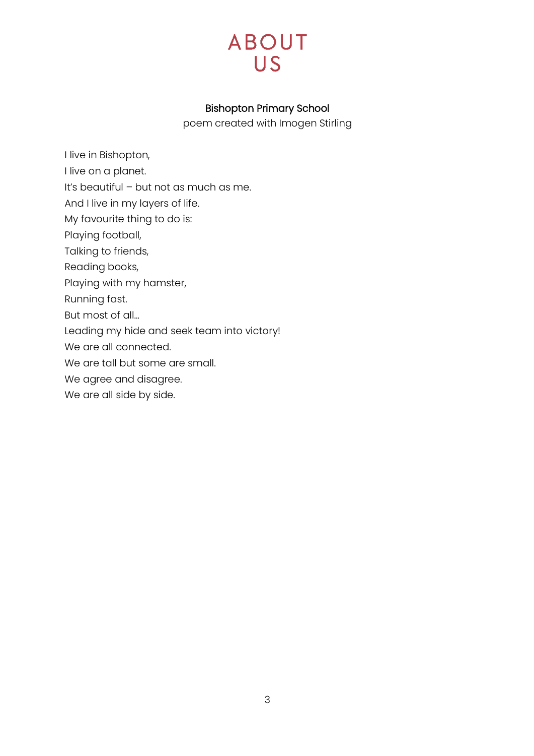

#### Bishopton Primary School

poem created with Imogen Stirling

- <span id="page-2-0"></span>I live in Bishopton,
- I live on a planet.
- It's beautiful but not as much as me.
- And I live in my layers of life.
- My favourite thing to do is:
- Playing football,
- Talking to friends,
- Reading books,
- Playing with my hamster,
- Running fast.
- But most of all…
- Leading my hide and seek team into victory!
- We are all connected.
- We are tall but some are small.
- We agree and disagree.
- We are all side by side.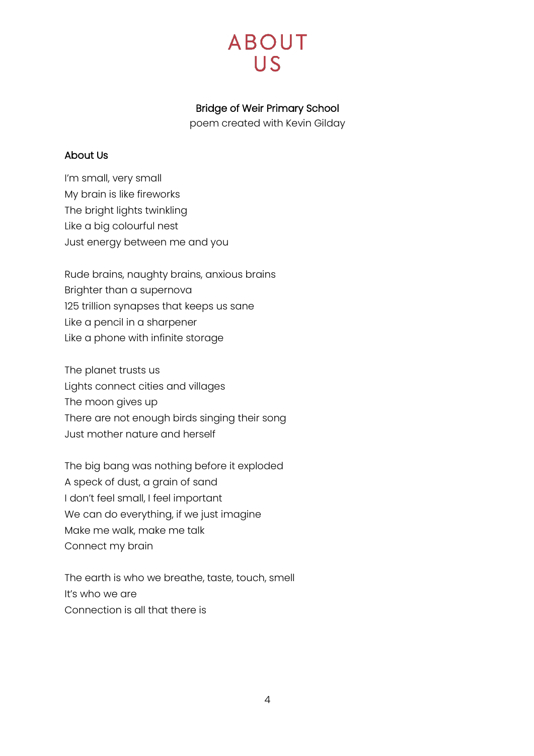#### Bridge of Weir Primary School

poem created with Kevin Gilday

#### <span id="page-3-0"></span>About Us

I'm small, very small My brain is like fireworks The bright lights twinkling Like a big colourful nest Just energy between me and you

Rude brains, naughty brains, anxious brains Brighter than a supernova 125 trillion synapses that keeps us sane Like a pencil in a sharpener Like a phone with infinite storage

The planet trusts us Lights connect cities and villages The moon gives up There are not enough birds singing their song Just mother nature and herself

The big bang was nothing before it exploded A speck of dust, a grain of sand I don't feel small, I feel important We can do everything, if we just imagine Make me walk, make me talk Connect my brain

The earth is who we breathe, taste, touch, smell It's who we are Connection is all that there is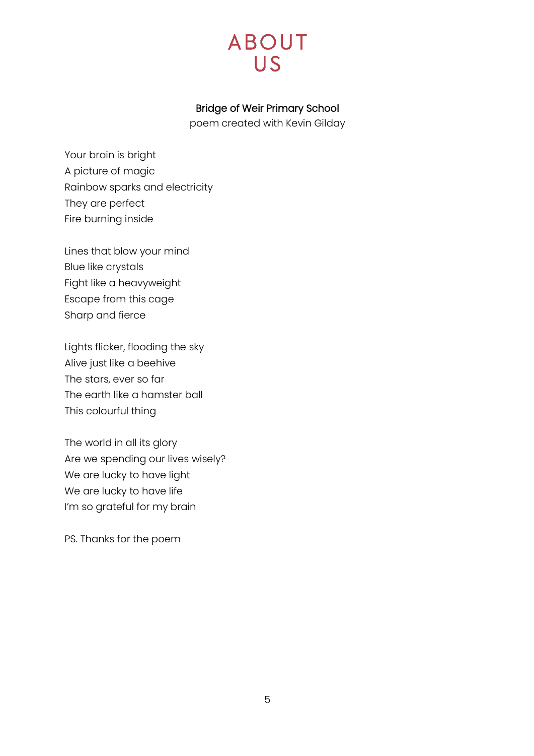

#### Bridge of Weir Primary School

poem created with Kevin Gilday

<span id="page-4-0"></span>Your brain is bright A picture of magic Rainbow sparks and electricity They are perfect Fire burning inside

Lines that blow your mind Blue like crystals Fight like a heavyweight Escape from this cage Sharp and fierce

Lights flicker, flooding the sky Alive just like a beehive The stars, ever so far The earth like a hamster ball This colourful thing

The world in all its glory Are we spending our lives wisely? We are lucky to have light We are lucky to have life I'm so grateful for my brain

PS. Thanks for the poem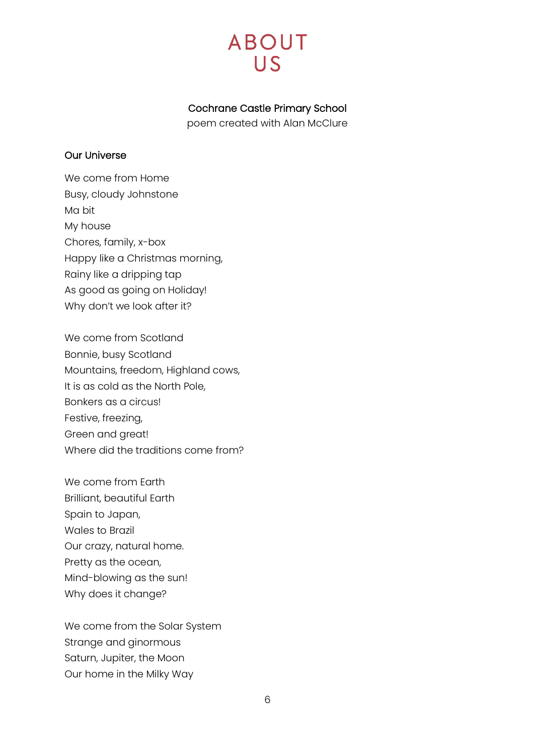#### Cochrane Castle Primary School

poem created with Alan McClure

#### <span id="page-5-0"></span>Our Universe

We come from Home Busy, cloudy Johnstone Ma bit My house Chores, family, x-box Happy like a Christmas morning, Rainy like a dripping tap As good as going on Holiday! Why don't we look after it?

We come from Scotland Bonnie, busy Scotland Mountains, freedom, Highland cows, It is as cold as the North Pole, Bonkers as a circus! Festive, freezing, Green and great! Where did the traditions come from?

We come from Earth Brilliant, beautiful Earth Spain to Japan, Wales to Brazil Our crazy, natural home. Pretty as the ocean, Mind-blowing as the sun! Why does it change?

We come from the Solar System Strange and ginormous Saturn, Jupiter, the Moon Our home in the Milky Way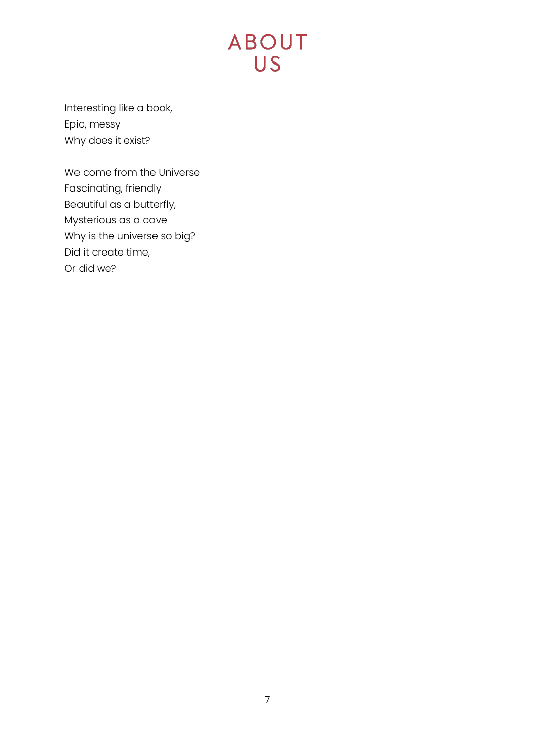Interesting like a book, Epic, messy Why does it exist?

We come from the Universe Fascinating, friendly Beautiful as a butterfly, Mysterious as a cave Why is the universe so big? Did it create time, Or did we?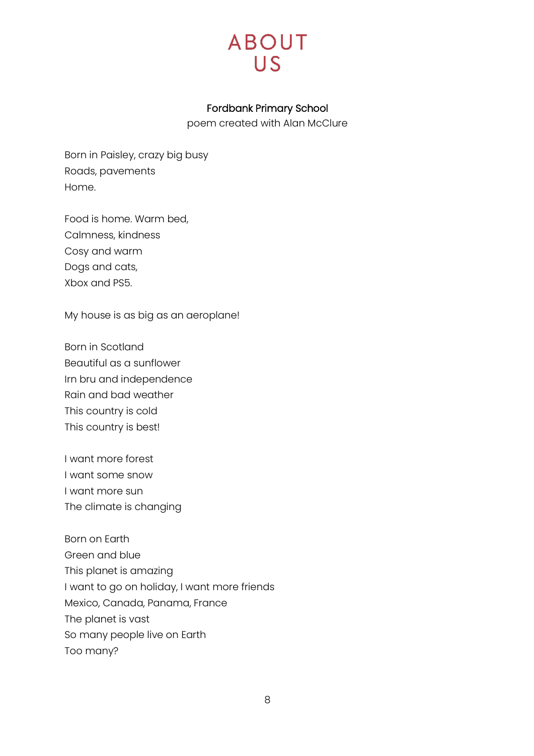

#### Fordbank Primary School

poem created with Alan McClure

<span id="page-7-0"></span>Born in Paisley, crazy big busy Roads, pavements Home.

Food is home. Warm bed, Calmness, kindness Cosy and warm Dogs and cats, Xbox and PS5.

My house is as big as an aeroplane!

Born in Scotland Beautiful as a sunflower Irn bru and independence Rain and bad weather This country is cold This country is best!

I want more forest I want some snow I want more sun The climate is changing

Born on Earth Green and blue This planet is amazing I want to go on holiday, I want more friends Mexico, Canada, Panama, France The planet is vast So many people live on Earth Too many?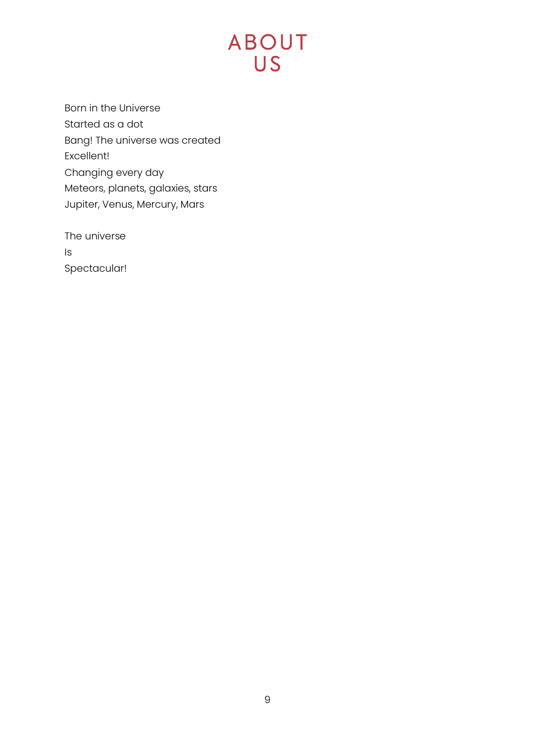Born in the Universe Started as a dot Bang! The universe was created Excellent! Changing every day Meteors, planets, galaxies, stars Jupiter, Venus, Mercury, Mars

The universe Is Spectacular!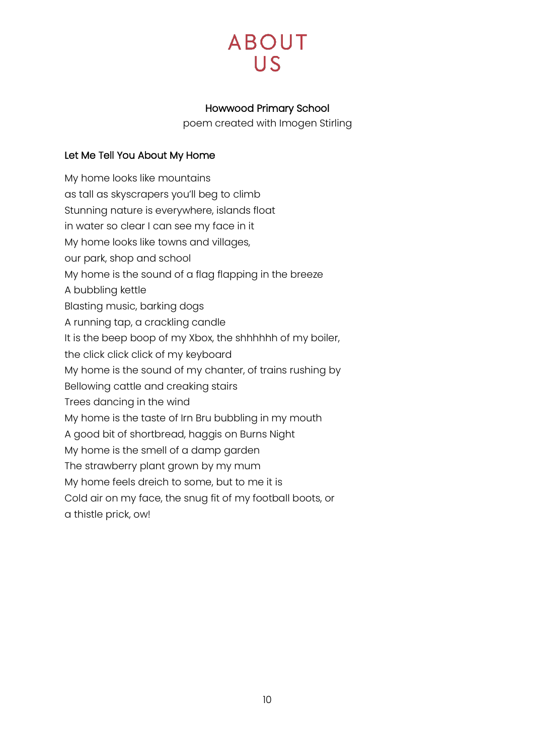#### Howwood Primary School

poem created with Imogen Stirling

#### <span id="page-9-0"></span>Let Me Tell You About My Home

My home looks like mountains as tall as skyscrapers you'll beg to climb Stunning nature is everywhere, islands float in water so clear I can see my face in it My home looks like towns and villages, our park, shop and school My home is the sound of a flag flapping in the breeze A bubbling kettle Blasting music, barking dogs A running tap, a crackling candle It is the beep boop of my Xbox, the shhhhhh of my boiler, the click click click of my keyboard My home is the sound of my chanter, of trains rushing by Bellowing cattle and creaking stairs Trees dancing in the wind My home is the taste of Irn Bru bubbling in my mouth A good bit of shortbread, haggis on Burns Night My home is the smell of a damp garden The strawberry plant grown by my mum My home feels dreich to some, but to me it is Cold air on my face, the snug fit of my football boots, or

a thistle prick, ow!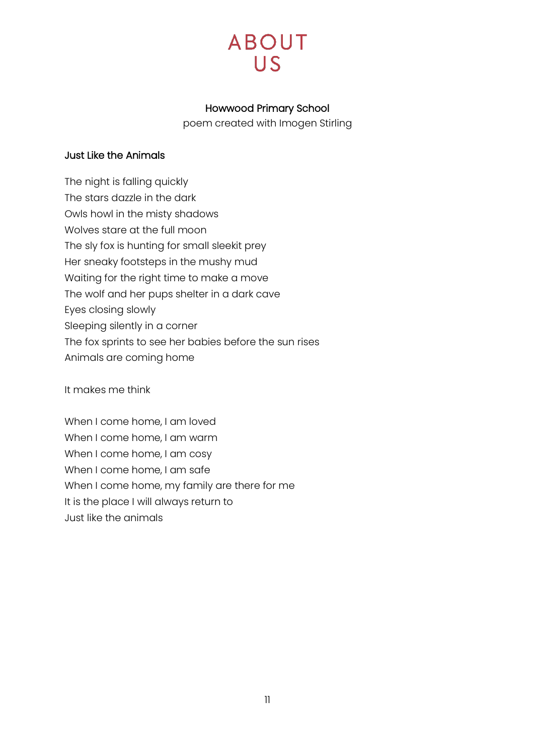#### Howwood Primary School

poem created with Imogen Stirling

#### <span id="page-10-0"></span>Just Like the Animals

The night is falling quickly The stars dazzle in the dark Owls howl in the misty shadows Wolves stare at the full moon The sly fox is hunting for small sleekit prey Her sneaky footsteps in the mushy mud Waiting for the right time to make a move The wolf and her pups shelter in a dark cave Eyes closing slowly Sleeping silently in a corner The fox sprints to see her babies before the sun rises Animals are coming home

It makes me think

When I come home, I am loved When I come home, I am warm When I come home, I am cosy When I come home, I am safe When I come home, my family are there for me It is the place I will always return to Just like the animals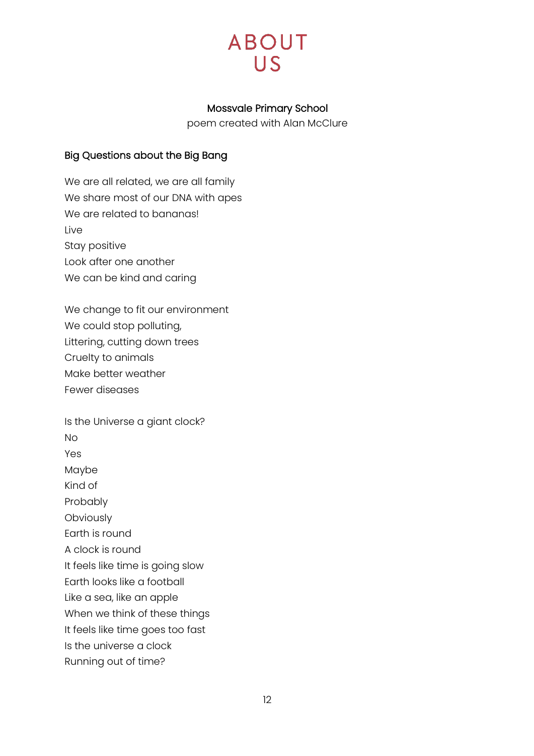

#### Mossvale Primary School

poem created with Alan McClure

#### <span id="page-11-0"></span>Big Questions about the Big Bang

We are all related, we are all family We share most of our DNA with apes We are related to bananas! Live Stay positive Look after one another We can be kind and caring

We change to fit our environment We could stop polluting, Littering, cutting down trees Cruelty to animals Make better weather Fewer diseases

Is the Universe a giant clock? No Yes Maybe Kind of Probably **Obviously** Earth is round A clock is round It feels like time is going slow Earth looks like a football Like a sea, like an apple When we think of these things It feels like time goes too fast Is the universe a clock Running out of time?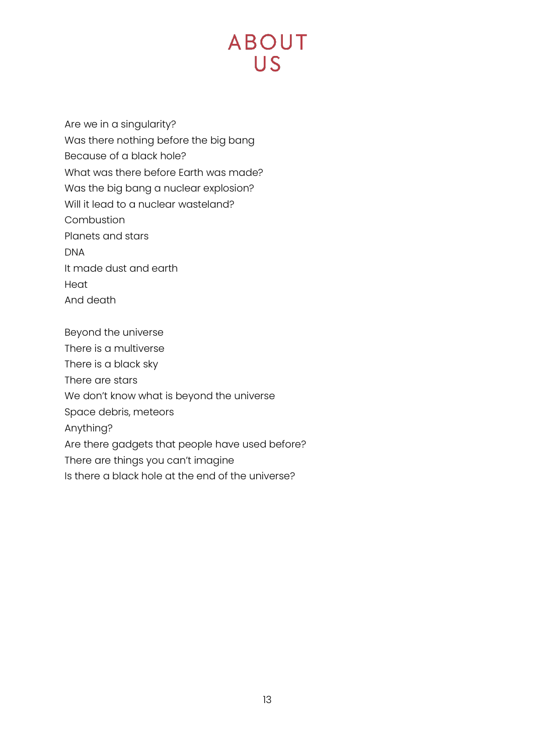Are we in a singularity? Was there nothing before the big bang Because of a black hole? What was there before Earth was made? Was the big bang a nuclear explosion? Will it lead to a nuclear wasteland? Combustion Planets and stars DNA It made dust and earth Heat And death

Beyond the universe There is a multiverse There is a black sky There are stars We don't know what is beyond the universe Space debris, meteors Anything? Are there gadgets that people have used before? There are things you can't imagine Is there a black hole at the end of the universe?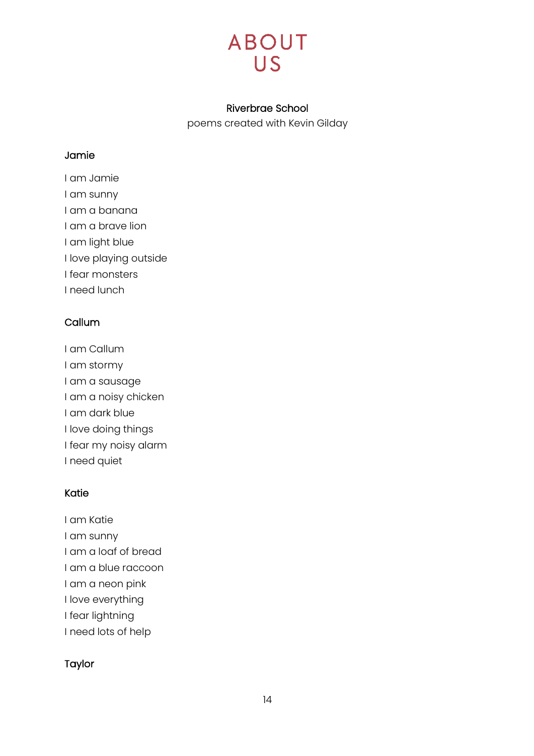#### Riverbrae School

poems created with Kevin Gilday

#### <span id="page-13-0"></span>Jamie

I am Jamie I am sunny I am a banana I am a brave lion I am light blue I love playing outside I fear monsters I need lunch

#### **Callum**

I am Callum I am stormy I am a sausage I am a noisy chicken I am dark blue I love doing things I fear my noisy alarm I need quiet

#### Katie

- I am Katie
- I am sunny
- I am a loaf of bread
- I am a blue raccoon
- I am a neon pink
- I love everything
- I fear lightning
- I need lots of help

#### Taylor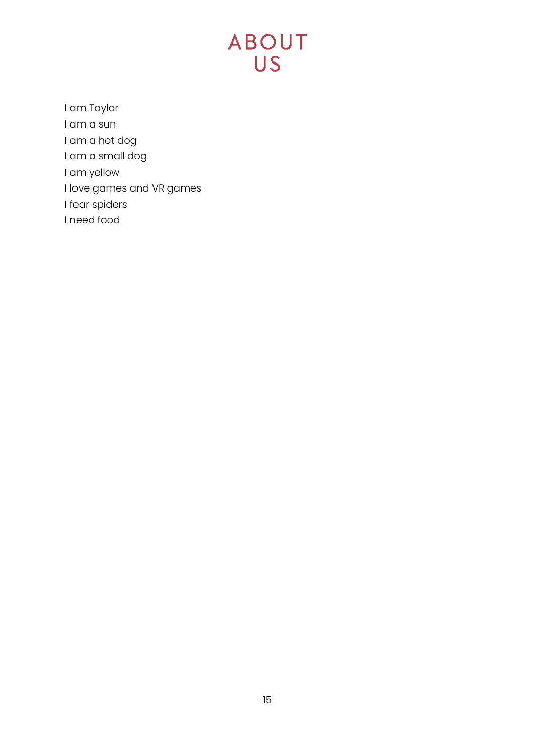## **ABOUT** US<sup>-</sup>

I am Taylor

- I am a sun
- I am a hot dog
- I am a small dog
- I am yellow
- I love games and VR games
- I fear spiders
- I need food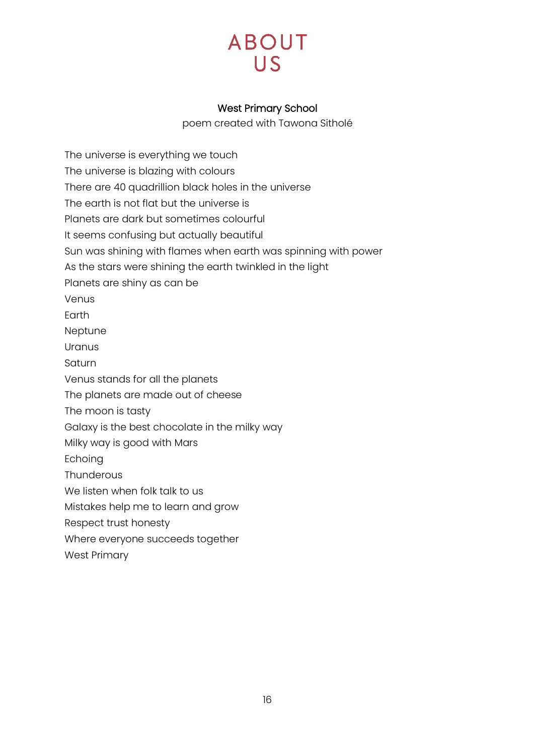#### West Primary School

poem created with Tawona Sitholé

<span id="page-15-0"></span>The universe is everything we touch The universe is blazing with colours There are 40 quadrillion black holes in the universe The earth is not flat but the universe is Planets are dark but sometimes colourful It seems confusing but actually beautiful Sun was shining with flames when earth was spinning with power As the stars were shining the earth twinkled in the light Planets are shiny as can be Venus Earth Neptune Uranus Saturn Venus stands for all the planets The planets are made out of cheese The moon is tasty Galaxy is the best chocolate in the milky way Milky way is good with Mars Echoing **Thunderous** We listen when folk talk to us Mistakes help me to learn and grow Respect trust honesty Where everyone succeeds together West Primary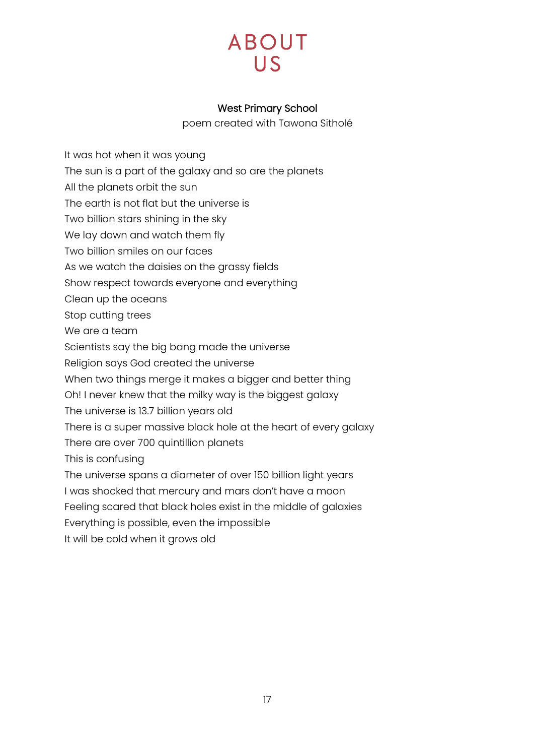#### West Primary School

poem created with Tawona Sitholé

<span id="page-16-0"></span>It was hot when it was young The sun is a part of the galaxy and so are the planets All the planets orbit the sun The earth is not flat but the universe is Two billion stars shining in the sky We lay down and watch them fly Two billion smiles on our faces As we watch the daisies on the grassy fields Show respect towards everyone and everything Clean up the oceans Stop cutting trees We are a team Scientists say the big bang made the universe Religion says God created the universe When two things merge it makes a bigger and better thing Oh! I never knew that the milky way is the biggest galaxy The universe is 13.7 billion years old There is a super massive black hole at the heart of every galaxy There are over 700 quintillion planets This is confusing The universe spans a diameter of over 150 billion light years I was shocked that mercury and mars don't have a moon Feeling scared that black holes exist in the middle of galaxies Everything is possible, even the impossible It will be cold when it grows old